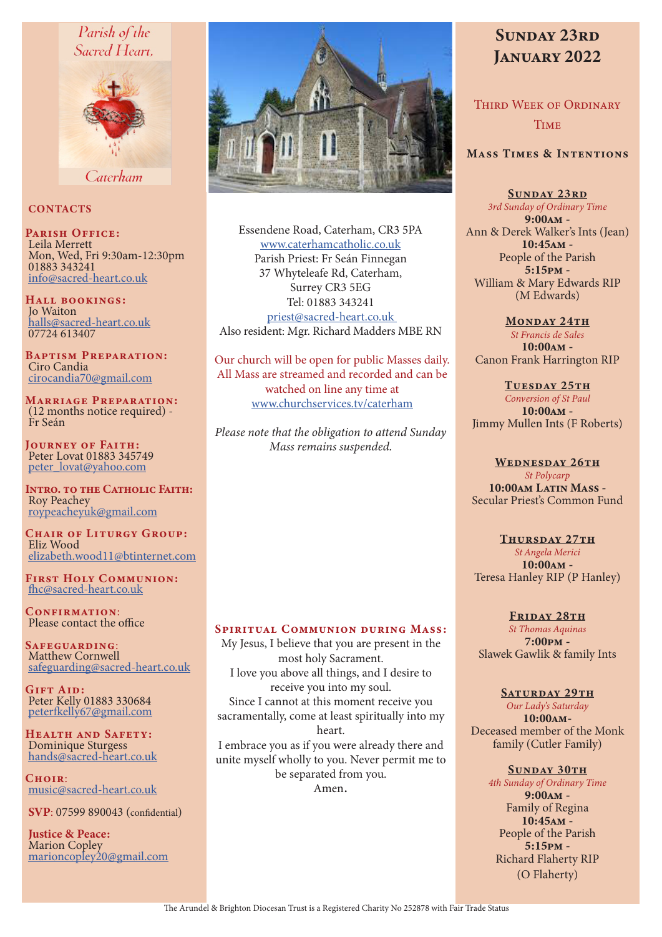# Parish of the Sacred Heart.



Caterham

## **CONTACTS**

PARISH OFFICE: Leila Merrett Mon, Wed, Fri 9:30am-12:30pm 01883 343241 info@sacred-heart.co.uk

Hall bookings: Jo Waiton halls@sacred-heart.co.uk 07724 613407

Baptism Preparation: Ciro Candia cirocandia70@gmail.com

Marriage Preparation: (12 months notice required) - Fr Seán

Journey of Faith: Peter Lovat 01883 345749 peter\_lovat@yahoo.com

INTRO. TO THE CATHOLIC FAITH: Roy Peachey roypeacheyuk@gmail.com

CHAIR OF LITURGY GROUP: Eliz Wood elizabeth.wood11@btinternet.com

First Holy Communion: fhc@sacred-heart.co.uk

CONFIRMATION: Please contact the office

Safeguarding: Matthew Cornwell safeguarding@sacred-heart.co.uk

GIFT AID: Peter Kelly 01883 330684 peterfkelly67@gmail.com

Health and Safety: Dominique Sturgess hands@sacred-heart.co.uk

 $C$ HOIP: music@sacred-heart.co.uk

SVP: 07599 890043 (confidential)

Justice & Peace: Marion Copley marioncopley20@gmail.com



Essendene Road, Caterham, CR3 5PA www.caterhamcatholic.co.uk Parish Priest: Fr Seán Finnegan 37 Whyteleafe Rd, Caterham, Surrey CR3 5EG Tel: 01883 343241 priest@sacred-heart.co.uk Also resident: Mgr. Richard Madders MBE RN

Our church will be open for public Masses daily. All Mass are streamed and recorded and can be watched on line any time at www.churchservices.tv/caterham

*Please note that the obligation to attend Sunday Mass remains suspended.*

# SPIRITUAL COMMUNION DURING MASS:

My Jesus, I believe that you are present in the most holy Sacrament. I love you above all things, and I desire to receive you into my soul. Since I cannot at this moment receive you sacramentally, come at least spiritually into my heart. I embrace you as if you were already there and unite myself wholly to you. Never permit me to be separated from you. Amen.

# SUNDAY 23RD JANUARY 2022

Third Week of Ordinary **TIME** 

## Mass Times & Intentions

SUNDAY 23RD

*3rd Sunday of Ordinary Time* 9:00am - Ann & Derek Walker's Ints (Jean) 10:45am - People of the Parish 5:15pm - William & Mary Edwards RIP (M Edwards)

MONDAY 24TH *St Francis de Sales* 10:00am - Canon Frank Harrington RIP

TUESDAY 25TH *Conversion of St Paul*  $10:00$  $\text{AM}$  -Jimmy Mullen Ints (F Roberts)

WEDNESDAY 26TH *St Polycarp* 10:00am Latin Mass -Secular Priest's Common Fund

#### THURSDAY 27TH

*St Angela Merici* 10:00am - Teresa Hanley RIP (P Hanley)

FRIDAY 28TH *St Thomas Aquinas*  $7:00 \,\mathrm{pm}$  -Slawek Gawlik & family Ints

#### SATURDAY 29TH

*Our Lady's Saturday* 10:00am-Deceased member of the Monk family (Cutler Family)

SUNDAY 30TH

*4th Sunday of Ordinary Time* 9:00am - Family of Regina 10:45am - People of the Parish 5:15pm - Richard Flaherty RIP (O Flaherty)